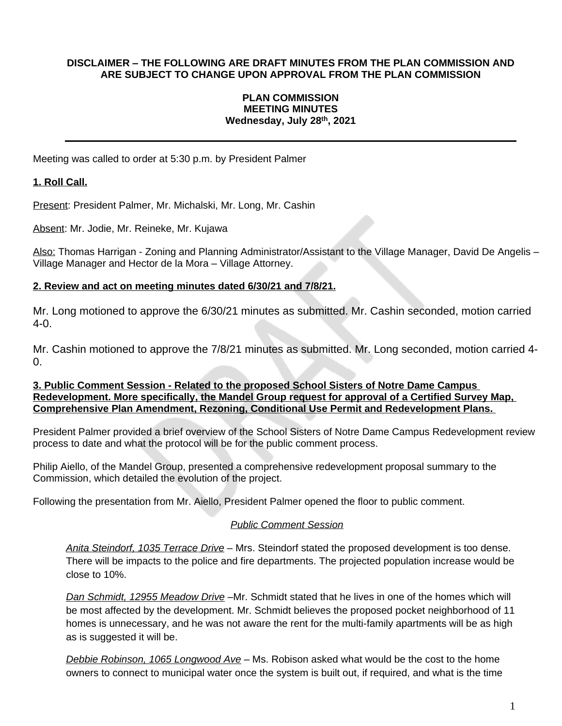## **DISCLAIMER – THE FOLLOWING ARE DRAFT MINUTES FROM THE PLAN COMMISSION AND ARE SUBJECT TO CHANGE UPON APPROVAL FROM THE PLAN COMMISSION**

#### **PLAN COMMISSION MEETING MINUTES Wednesday, July 28 th , 2021**

Meeting was called to order at 5:30 p.m. by President Palmer

# **1. Roll Call.**

Present: President Palmer, Mr. Michalski, Mr. Long, Mr. Cashin

Absent: Mr. Jodie, Mr. Reineke, Mr. Kujawa

Also: Thomas Harrigan - Zoning and Planning Administrator/Assistant to the Village Manager, David De Angelis -Village Manager and Hector de la Mora – Village Attorney.

## **2. Review and act on meeting minutes dated 6/30/21 and 7/8/21.**

Mr. Long motioned to approve the 6/30/21 minutes as submitted. Mr. Cashin seconded, motion carried 4-0.

Mr. Cashin motioned to approve the 7/8/21 minutes as submitted. Mr. Long seconded, motion carried 4-  $\Omega$ .

## **3. Public Comment Session - Related to the proposed School Sisters of Notre Dame Campus Redevelopment. More specifically, the Mandel Group request for approval of a Certified Survey Map, Comprehensive Plan Amendment, Rezoning, Conditional Use Permit and Redevelopment Plans.**

President Palmer provided a brief overview of the School Sisters of Notre Dame Campus Redevelopment review process to date and what the protocol will be for the public comment process.

Philip Aiello, of the Mandel Group, presented a comprehensive redevelopment proposal summary to the Commission, which detailed the evolution of the project.

Following the presentation from Mr. Aiello, President Palmer opened the floor to public comment.

# *Public Comment Session*

*Anita Steindorf, 1035 Terrace Drive* – Mrs. Steindorf stated the proposed development is too dense. There will be impacts to the police and fire departments. The projected population increase would be close to 10%.

*Dan Schmidt, 12955 Meadow Drive* –Mr. Schmidt stated that he lives in one of the homes which will be most affected by the development. Mr. Schmidt believes the proposed pocket neighborhood of 11 homes is unnecessary, and he was not aware the rent for the multi-family apartments will be as high as is suggested it will be.

*Debbie Robinson, 1065 Longwood Ave* – Ms. Robison asked what would be the cost to the home owners to connect to municipal water once the system is built out, if required, and what is the time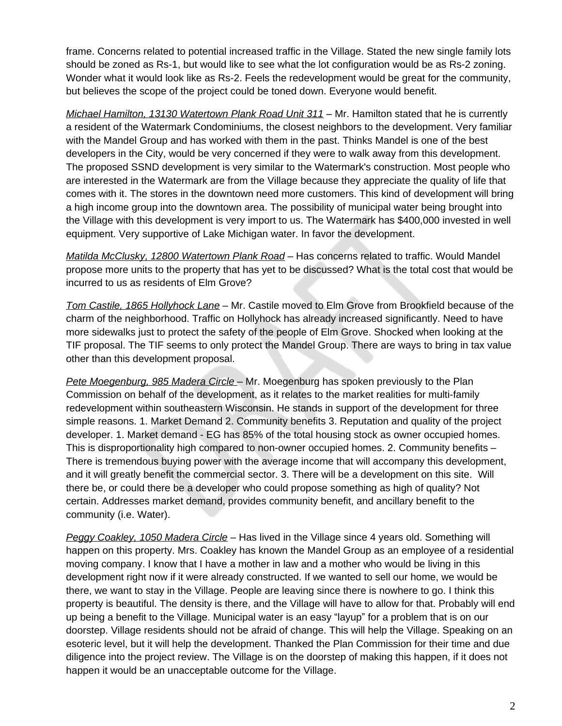frame. Concerns related to potential increased traffic in the Village. Stated the new single family lots should be zoned as Rs-1, but would like to see what the lot configuration would be as Rs-2 zoning. Wonder what it would look like as Rs-2. Feels the redevelopment would be great for the community, but believes the scope of the project could be toned down. Everyone would benefit.

*Michael Hamilton, 13130 Watertown Plank Road Unit 311* – Mr. Hamilton stated that he is currently a resident of the Watermark Condominiums, the closest neighbors to the development. Very familiar with the Mandel Group and has worked with them in the past. Thinks Mandel is one of the best developers in the City, would be very concerned if they were to walk away from this development. The proposed SSND development is very similar to the Watermark's construction. Most people who are interested in the Watermark are from the Village because they appreciate the quality of life that comes with it. The stores in the downtown need more customers. This kind of development will bring a high income group into the downtown area. The possibility of municipal water being brought into the Village with this development is very import to us. The Watermark has \$400,000 invested in well equipment. Very supportive of Lake Michigan water. In favor the development.

*Matilda McClusky, 12800 Watertown Plank Road* – Has concerns related to traffic. Would Mandel propose more units to the property that has yet to be discussed? What is the total cost that would be incurred to us as residents of Elm Grove?

*Tom Castile, 1865 Hollyhock Lane* – Mr. Castile moved to Elm Grove from Brookfield because of the charm of the neighborhood. Traffic on Hollyhock has already increased significantly. Need to have more sidewalks just to protect the safety of the people of Elm Grove. Shocked when looking at the TIF proposal. The TIF seems to only protect the Mandel Group. There are ways to bring in tax value other than this development proposal.

*Pete Moegenburg, 985 Madera Circle* – Mr. Moegenburg has spoken previously to the Plan Commission on behalf of the development, as it relates to the market realities for multi-family redevelopment within southeastern Wisconsin. He stands in support of the development for three simple reasons. 1. Market Demand 2. Community benefits 3. Reputation and quality of the project developer. 1. Market demand - EG has 85% of the total housing stock as owner occupied homes. This is disproportionality high compared to non-owner occupied homes. 2. Community benefits – There is tremendous buying power with the average income that will accompany this development, and it will greatly benefit the commercial sector. 3. There will be a development on this site. Will there be, or could there be a developer who could propose something as high of quality? Not certain. Addresses market demand, provides community benefit, and ancillary benefit to the community (i.e. Water).

*Peggy Coakley, 1050 Madera Circle* – Has lived in the Village since 4 years old. Something will happen on this property. Mrs. Coakley has known the Mandel Group as an employee of a residential moving company. I know that I have a mother in law and a mother who would be living in this development right now if it were already constructed. If we wanted to sell our home, we would be there, we want to stay in the Village. People are leaving since there is nowhere to go. I think this property is beautiful. The density is there, and the Village will have to allow for that. Probably will end up being a benefit to the Village. Municipal water is an easy "layup" for a problem that is on our doorstep. Village residents should not be afraid of change. This will help the Village. Speaking on an esoteric level, but it will help the development. Thanked the Plan Commission for their time and due diligence into the project review. The Village is on the doorstep of making this happen, if it does not happen it would be an unacceptable outcome for the Village.